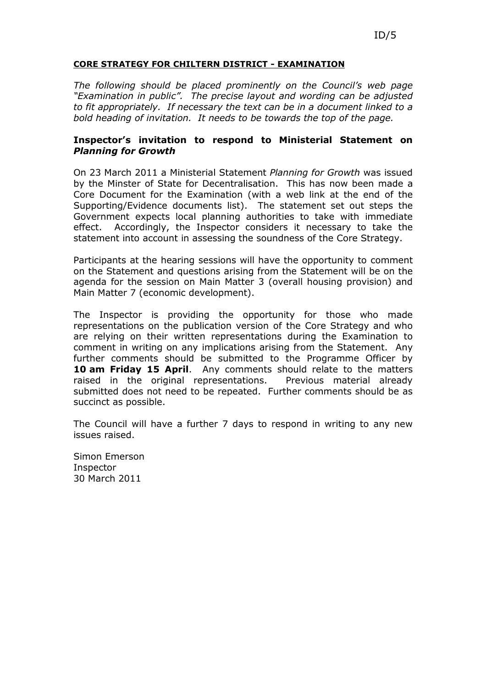### CORE STRATEGY FOR CHILTERN DISTRICT - EXAMINATION

The following should be placed prominently on the Council's web page "Examination in public". The precise layout and wording can be adjusted to fit appropriately. If necessary the text can be in a document linked to a bold heading of invitation. It needs to be towards the top of the page.

## Inspector's invitation to respond to Ministerial Statement on Planning for Growth

On 23 March 2011 a Ministerial Statement Planning for Growth was issued by the Minster of State for Decentralisation. This has now been made a Core Document for the Examination (with a web link at the end of the Supporting/Evidence documents list). The statement set out steps the Government expects local planning authorities to take with immediate effect. Accordingly, the Inspector considers it necessary to take the statement into account in assessing the soundness of the Core Strategy.

Participants at the hearing sessions will have the opportunity to comment on the Statement and questions arising from the Statement will be on the agenda for the session on Main Matter 3 (overall housing provision) and Main Matter 7 (economic development).

The Inspector is providing the opportunity for those who made representations on the publication version of the Core Strategy and who are relying on their written representations during the Examination to comment in writing on any implications arising from the Statement. Any further comments should be submitted to the Programme Officer by 10 am Friday 15 April. Any comments should relate to the matters raised in the original representations. Previous material already submitted does not need to be repeated. Further comments should be as succinct as possible.

The Council will have a further 7 days to respond in writing to any new issues raised.

Simon Emerson Inspector 30 March 2011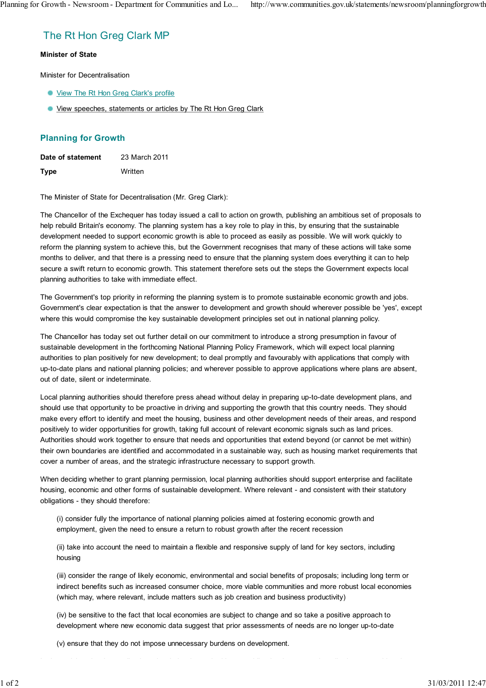# The Rt Hon Greg Clark MP

#### Minister of State

Minister for Decentralisation

- View The Rt Hon Greg Clark's profile
- View speeches, statements or articles by The Rt Hon Greg Clark

## Planning for Growth

| Date of statement | 23 March 2011 |
|-------------------|---------------|
| <b>Type</b>       | Written       |

The Minister of State for Decentralisation (Mr. Greg Clark):

The Chancellor of the Exchequer has today issued a call to action on growth, publishing an ambitious set of proposals to help rebuild Britain's economy. The planning system has a key role to play in this, by ensuring that the sustainable development needed to support economic growth is able to proceed as easily as possible. We will work quickly to reform the planning system to achieve this, but the Government recognises that many of these actions will take some months to deliver, and that there is a pressing need to ensure that the planning system does everything it can to help secure a swift return to economic growth. This statement therefore sets out the steps the Government expects local planning authorities to take with immediate effect.

The Government's top priority in reforming the planning system is to promote sustainable economic growth and jobs. Government's clear expectation is that the answer to development and growth should wherever possible be 'yes', except where this would compromise the key sustainable development principles set out in national planning policy.

The Chancellor has today set out further detail on our commitment to introduce a strong presumption in favour of sustainable development in the forthcoming National Planning Policy Framework, which will expect local planning authorities to plan positively for new development; to deal promptly and favourably with applications that comply with up-to-date plans and national planning policies; and wherever possible to approve applications where plans are absent, out of date, silent or indeterminate.

Local planning authorities should therefore press ahead without delay in preparing up-to-date development plans, and should use that opportunity to be proactive in driving and supporting the growth that this country needs. They should make every effort to identify and meet the housing, business and other development needs of their areas, and respond positively to wider opportunities for growth, taking full account of relevant economic signals such as land prices. Authorities should work together to ensure that needs and opportunities that extend beyond (or cannot be met within) their own boundaries are identified and accommodated in a sustainable way, such as housing market requirements that cover a number of areas, and the strategic infrastructure necessary to support growth.

When deciding whether to grant planning permission, local planning authorities should support enterprise and facilitate housing, economic and other forms of sustainable development. Where relevant - and consistent with their statutory obligations - they should therefore:

(i) consider fully the importance of national planning policies aimed at fostering economic growth and employment, given the need to ensure a return to robust growth after the recent recession

(ii) take into account the need to maintain a flexible and responsive supply of land for key sectors, including housing

(iii) consider the range of likely economic, environmental and social benefits of proposals; including long term or indirect benefits such as increased consumer choice, more viable communities and more robust local economies (which may, where relevant, include matters such as job creation and business productivity)

(iv) be sensitive to the fact that local economies are subject to change and so take a positive approach to development where new economic data suggest that prior assessments of needs are no longer up-to-date

(v) ensure that they do not impose unnecessary burdens on development.